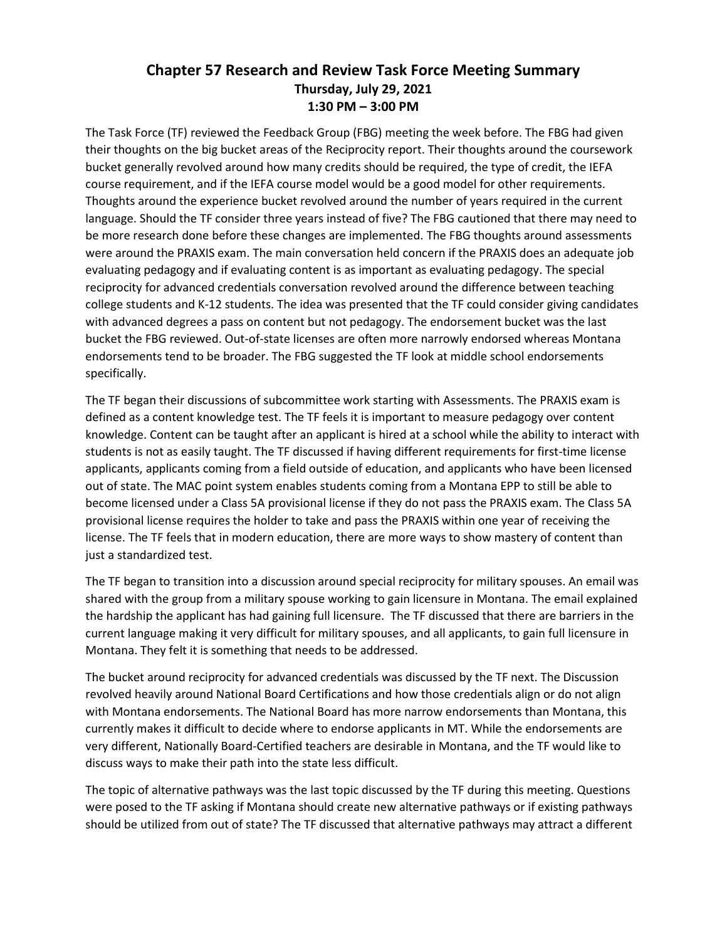## **Chapter 57 Research and Review Task Force Meeting Summary Thursday, July 29, 2021 1:30 PM – 3:00 PM**

The Task Force (TF) reviewed the Feedback Group (FBG) meeting the week before. The FBG had given their thoughts on the big bucket areas of the Reciprocity report. Their thoughts around the coursework bucket generally revolved around how many credits should be required, the type of credit, the IEFA course requirement, and if the IEFA course model would be a good model for other requirements. Thoughts around the experience bucket revolved around the number of years required in the current language. Should the TF consider three years instead of five? The FBG cautioned that there may need to be more research done before these changes are implemented. The FBG thoughts around assessments were around the PRAXIS exam. The main conversation held concern if the PRAXIS does an adequate job evaluating pedagogy and if evaluating content is as important as evaluating pedagogy. The special reciprocity for advanced credentials conversation revolved around the difference between teaching college students and K-12 students. The idea was presented that the TF could consider giving candidates with advanced degrees a pass on content but not pedagogy. The endorsement bucket was the last bucket the FBG reviewed. Out-of-state licenses are often more narrowly endorsed whereas Montana endorsements tend to be broader. The FBG suggested the TF look at middle school endorsements specifically.

The TF began their discussions of subcommittee work starting with Assessments. The PRAXIS exam is defined as a content knowledge test. The TF feels it is important to measure pedagogy over content knowledge. Content can be taught after an applicant is hired at a school while the ability to interact with students is not as easily taught. The TF discussed if having different requirements for first-time license applicants, applicants coming from a field outside of education, and applicants who have been licensed out of state. The MAC point system enables students coming from a Montana EPP to still be able to become licensed under a Class 5A provisional license if they do not pass the PRAXIS exam. The Class 5A provisional license requires the holder to take and pass the PRAXIS within one year of receiving the license. The TF feels that in modern education, there are more ways to show mastery of content than just a standardized test.

The TF began to transition into a discussion around special reciprocity for military spouses. An email was shared with the group from a military spouse working to gain licensure in Montana. The email explained the hardship the applicant has had gaining full licensure. The TF discussed that there are barriers in the current language making it very difficult for military spouses, and all applicants, to gain full licensure in Montana. They felt it is something that needs to be addressed.

The bucket around reciprocity for advanced credentials was discussed by the TF next. The Discussion revolved heavily around National Board Certifications and how those credentials align or do not align with Montana endorsements. The National Board has more narrow endorsements than Montana, this currently makes it difficult to decide where to endorse applicants in MT. While the endorsements are very different, Nationally Board-Certified teachers are desirable in Montana, and the TF would like to discuss ways to make their path into the state less difficult.

The topic of alternative pathways was the last topic discussed by the TF during this meeting. Questions were posed to the TF asking if Montana should create new alternative pathways or if existing pathways should be utilized from out of state? The TF discussed that alternative pathways may attract a different